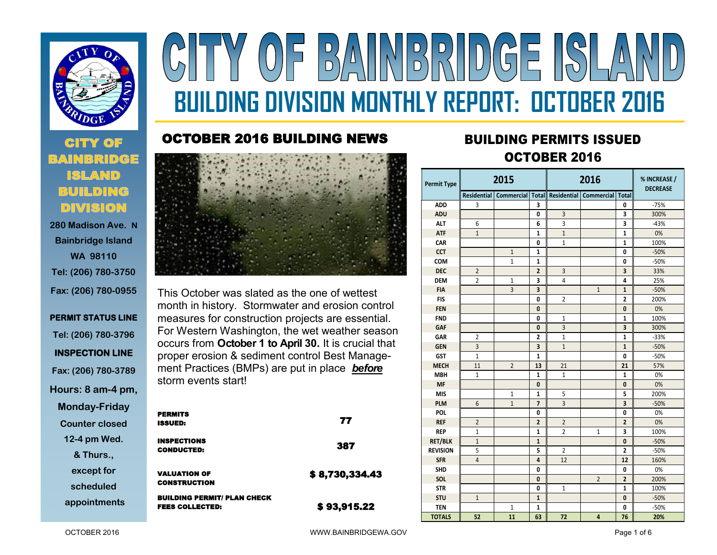

**CITY OF** 

**BUILDING DIVISION 280 Madison Ave. N Bainbridge Island** 

# Y OF BAINBRIDGE ISLA **BUILDING DIVISION MONTHLY REPORT: OCTOBER 2016**

#### OCTOBER 2016 BUILDING NEWS



This October was slated as the one of wettest month in history. Stormwater and erosion control measures for construction projects are essential. For Western Washington, the wet weather season occurs from **October 1 to April 30.** It is crucial that proper erosion & sediment control Best Management Practices (BMPs) are put in place **before** storm events start!

| у | <b>PERMITS</b>                     |                |
|---|------------------------------------|----------------|
|   | <b>ISSUED:</b>                     | 77             |
|   | <b>INSPECTIONS</b>                 | 387            |
|   | <b>CONDUCTED:</b>                  |                |
|   | <b>VALUATION OF</b>                | \$8,730,334.43 |
|   | <b>CONSTRUCTION</b>                |                |
|   | <b>BUILDING PERMIT/ PLAN CHECK</b> |                |
|   | <b>FEES COLLECTED:</b>             | \$93,915.22    |

## **<sup>2016</sup>** BUILDING PERMITS ISSUED OCTOBER 2016

| <b>Permit Type</b> | 2015           |                |                         | 2016           |                                                                     |                         | % INCREASE /<br><b>DECREASE</b> |  |
|--------------------|----------------|----------------|-------------------------|----------------|---------------------------------------------------------------------|-------------------------|---------------------------------|--|
|                    |                |                |                         |                | Residential   Commercial   Total   Residential   Commercial   Total |                         |                                 |  |
| <b>ADD</b>         | 3              |                | 3                       |                |                                                                     | 0                       | $-75%$                          |  |
| <b>ADU</b>         |                |                | $\mathbf{0}$            | $\overline{3}$ |                                                                     | 3                       | 300%                            |  |
| <b>ALT</b>         | 6              |                | 6                       | 3              |                                                                     | 3                       | $-43%$                          |  |
| <b>ATF</b>         | $\mathbf{1}$   |                | $\mathbf{1}$            | $\mathbf{1}$   |                                                                     | $\mathbf{1}$            | 0%                              |  |
| CAR                |                |                | $\mathbf{0}$            | $\mathbf{1}$   |                                                                     | $\mathbf{1}$            | 100%                            |  |
| <b>CCT</b>         |                | $\mathbf{1}$   | 1                       |                |                                                                     | 0                       | $-50%$                          |  |
| COM                |                | $\mathbf{1}$   | $\mathbf{1}$            |                |                                                                     | 0                       | $-50%$                          |  |
| <b>DEC</b>         | $\overline{2}$ |                | $\overline{2}$          | $\overline{3}$ |                                                                     | $\overline{\mathbf{3}}$ | 33%                             |  |
| <b>DEM</b>         | $\overline{2}$ | $\mathbf{1}$   | 3                       | $\overline{4}$ |                                                                     | 4                       | 25%                             |  |
| <b>FIA</b>         |                | $\overline{3}$ | $\overline{\mathbf{3}}$ |                | $\mathbf{1}$                                                        | $\mathbf{1}$            | $-50%$                          |  |
| <b>FIS</b>         |                |                | $\mathbf{0}$            | $\overline{2}$ |                                                                     | $\overline{2}$          | 200%                            |  |
| <b>FEN</b>         |                |                | $\mathbf{0}$            |                |                                                                     | $\mathbf{0}$            | 0%                              |  |
| <b>FND</b>         |                |                | 0                       | $\mathbf{1}$   |                                                                     | $\mathbf{1}$            | 100%                            |  |
| <b>GAF</b>         |                |                | $\mathbf{0}$            | $\overline{3}$ |                                                                     | 3                       | 300%                            |  |
| GAR                | $\overline{2}$ |                | $\overline{2}$          | $\mathbf{1}$   |                                                                     | $\mathbf{1}$            | $-33%$                          |  |
| <b>GEN</b>         | $\overline{3}$ |                | $\overline{\mathbf{3}}$ | $\mathbf{1}$   |                                                                     | $\mathbf{1}$            | $-50%$                          |  |
| <b>GST</b>         | $\mathbf{1}$   |                | $\mathbf{1}$            |                |                                                                     | $\mathbf{0}$            | $-50%$                          |  |
| <b>MECH</b>        | 11             | $\overline{2}$ | 13                      | 21             |                                                                     | 21                      | 57%                             |  |
| <b>MBH</b>         | $\mathbf{1}$   |                | $\mathbf{1}$            | $\mathbf{1}$   |                                                                     | $\mathbf{1}$            | 0%                              |  |
| <b>MF</b>          |                |                | $\mathbf{0}$            |                |                                                                     | 0                       | 0%                              |  |
| <b>MIS</b>         |                | 1              | $\mathbf{1}$            | 5              |                                                                     | 5                       | 200%                            |  |
| <b>PLM</b>         | 6              | $\mathbf{1}$   | $\overline{7}$          | $\overline{3}$ |                                                                     | 3                       | $-50%$                          |  |
| <b>POL</b>         |                |                | $\mathbf{0}$            |                |                                                                     | $\mathbf{0}$            | 0%                              |  |
| <b>REF</b>         | $\overline{2}$ |                | $\overline{2}$          | $\overline{2}$ |                                                                     | $\overline{2}$          | 0%                              |  |
| <b>REP</b>         | $\mathbf{1}$   |                | 1                       | $\overline{2}$ | $\mathbf{1}$                                                        | 3                       | 100%                            |  |
| <b>RET/BLK</b>     | $\mathbf{1}$   |                | $\mathbf{1}$            |                |                                                                     | $\mathbf{0}$            | $-50%$                          |  |
| <b>REVISION</b>    | 5              |                | 5                       | $\overline{2}$ |                                                                     | $\overline{2}$          | $-50%$                          |  |
| <b>SFR</b>         | $\overline{4}$ |                | $\overline{a}$          | 12             |                                                                     | 12                      | 160%                            |  |
| <b>SHD</b>         |                |                | 0                       |                |                                                                     | 0                       | 0%                              |  |
| SOL                |                |                | $\mathbf{0}$            |                | $\overline{2}$                                                      | $\overline{2}$          | 200%                            |  |
| <b>STR</b>         |                |                | 0                       | $\mathbf{1}$   |                                                                     | $\mathbf{1}$            | 100%                            |  |
| <b>STU</b>         | $\mathbf{1}$   |                | $\mathbf{1}$            |                |                                                                     | $\mathbf{0}$            | $-50%$                          |  |
| <b>TEN</b>         |                | 1              | $\mathbf{1}$            |                |                                                                     | 0                       | $-50%$                          |  |
| <b>TOTALS</b>      | 52             | 11             | 63                      | 72             | $\overline{a}$                                                      | 76                      | 20%                             |  |

### **WA 98110 Tel: (206) 780-3750 Fax: (206) 780-0955 PERMIT STATUS LINE**

**Tel: (206) 780-3796 INSPECTION LINE** 

**Fax: (206) 780-3789**

**Hours: 8 am-4 pm,** 

**Monday-Friday Counter closed 12-4 pm Wed. & Thurs., except for** 

**scheduled**

**appointments**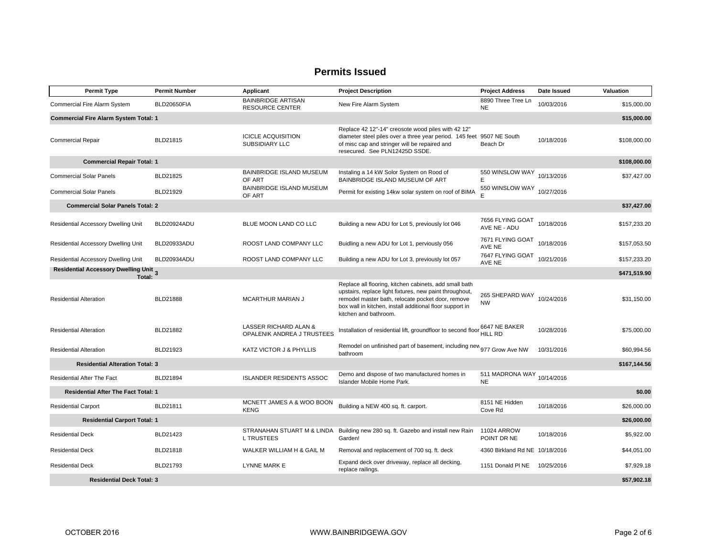| <b>Permit Type</b>                              | <b>Permit Number</b> | Applicant                                           | <b>Project Description</b>                                                                                                                                                                                                                                  | <b>Project Address</b>                  | Date Issued | Valuation    |
|-------------------------------------------------|----------------------|-----------------------------------------------------|-------------------------------------------------------------------------------------------------------------------------------------------------------------------------------------------------------------------------------------------------------------|-----------------------------------------|-------------|--------------|
| Commercial Fire Alarm System                    | BLD20650FIA          | <b>BAINBRIDGE ARTISAN</b><br><b>RESOURCE CENTER</b> | New Fire Alarm System                                                                                                                                                                                                                                       | 8890 Three Tree Ln<br><b>NE</b>         | 10/03/2016  | \$15,000.00  |
| <b>Commercial Fire Alarm System Total: 1</b>    |                      |                                                     |                                                                                                                                                                                                                                                             |                                         |             | \$15,000.00  |
| <b>Commercial Repair</b>                        | BLD21815             | <b>ICICLE ACQUISITION</b><br>SUBSIDIARY LLC         | Replace 42 12"-14" creosote wood piles with 42 12"<br>diameter steel piles over a three year period. 145 feet<br>of misc cap and stringer will be repaired and<br>resecured. See PLN12425D SSDE.                                                            | 9507 NE South<br>Beach Dr               | 10/18/2016  | \$108,000.00 |
| <b>Commercial Repair Total: 1</b>               |                      |                                                     |                                                                                                                                                                                                                                                             |                                         |             | \$108,000.00 |
| <b>Commercial Solar Panels</b>                  | BLD21825             | BAINBRIDGE ISLAND MUSEUM<br>OF ART                  | Instaling a 14 kW Solor System on Rood of<br>BAINBRIDGE ISLAND MUSEUM OF ART                                                                                                                                                                                | 550 WINSLOW WAY<br>E                    | 10/13/2016  | \$37,427.00  |
| <b>Commercial Solar Panels</b>                  | BLD21929             | <b>BAINBRIDGE ISLAND MUSEUM</b><br>OF ART           | Permit for existing 14kw solar system on roof of BIMA                                                                                                                                                                                                       | 550 WINSLOW WAY                         | 10/27/2016  |              |
| <b>Commercial Solar Panels Total: 2</b>         |                      |                                                     |                                                                                                                                                                                                                                                             |                                         |             | \$37,427.00  |
| Residential Accessory Dwelling Unit             | BLD20924ADU          | BLUE MOON LAND CO LLC                               | Building a new ADU for Lot 5, previously lot 046                                                                                                                                                                                                            | 7656 FLYING GOAT<br>AVE NE - ADU        | 10/18/2016  | \$157,233.20 |
| Residential Accessory Dwelling Unit             | BLD20933ADU          | ROOST LAND COMPANY LLC                              | Buidling a new ADU for Lot 1, perviously 056                                                                                                                                                                                                                | 7671 FLYING GOAT<br>AVE NE              | 10/18/2016  | \$157,053.50 |
| Residential Accessory Dwelling Unit             | BLD20934ADU          | ROOST LAND COMPANY LLC                              | Building a new ADU for Lot 3, previously lot 057                                                                                                                                                                                                            | 7647 FLYING GOAT<br>AVE NE              | 10/21/2016  | \$157,233.20 |
| Residential Accessory Dwelling Unit 3<br>Total: |                      |                                                     |                                                                                                                                                                                                                                                             |                                         |             | \$471,519.90 |
| <b>Residential Alteration</b>                   | <b>BLD21888</b>      | <b>MCARTHUR MARIAN J</b>                            | Replace all flooring, kitchen cabinets, add small bath<br>upstairs, replace light fixtures, new paint throughout,<br>remodel master bath, relocate pocket door, remove<br>box wall in kitchen, install additional floor support in<br>kitchen and bathroom. | 265 SHEPARD WAY<br><b>NW</b>            | 10/24/2016  | \$31,150.00  |
| <b>Residential Alteration</b>                   | BLD21882             | LASSER RICHARD ALAN &<br>OPALENIK ANDREA J TRUSTEES | Installation of residential lift, groundfloor to second floor                                                                                                                                                                                               | 6647 NE BAKER<br>HILL RD                | 10/28/2016  | \$75,000.00  |
| <b>Residential Alteration</b>                   | BLD21923             | KATZ VICTOR J & PHYLLIS                             | Remodel on unfinished part of basement, including new 977 Grow Ave NW<br>bathroom                                                                                                                                                                           |                                         | 10/31/2016  | \$60,994.56  |
| <b>Residential Alteration Total: 3</b>          |                      |                                                     |                                                                                                                                                                                                                                                             |                                         |             | \$167,144.56 |
| <b>Residential After The Fact</b>               | <b>BLD21894</b>      | <b>ISLANDER RESIDENTS ASSOC</b>                     | Demo and dispose of two manufactured homes in<br>Islander Mobile Home Park.                                                                                                                                                                                 | 511 MADRONA WAY 10/14/2016<br><b>NE</b> |             |              |
| <b>Residential After The Fact Total: 1</b>      |                      |                                                     |                                                                                                                                                                                                                                                             |                                         |             | \$0.00       |
| <b>Residential Carport</b>                      | BLD21811             | MCNETT JAMES A & WOO BOON<br><b>KENG</b>            | Building a NEW 400 sq. ft. carport.                                                                                                                                                                                                                         | 8151 NE Hidden<br>Cove Rd               | 10/18/2016  | \$26,000.00  |
| <b>Residential Carport Total: 1</b>             |                      |                                                     |                                                                                                                                                                                                                                                             |                                         |             | \$26,000.00  |
| <b>Residential Deck</b>                         | BLD21423             | <b>L TRUSTEES</b>                                   | STRANAHAN STUART M & LINDA Building new 280 sq. ft. Gazebo and install new Rain<br>Garden!                                                                                                                                                                  | 11024 ARROW<br>POINT DR NE              | 10/18/2016  | \$5,922.00   |
| <b>Residential Deck</b>                         | BLD21818             | WALKER WILLIAM H & GAIL M                           | Removal and replacement of 700 sq. ft. deck                                                                                                                                                                                                                 | 4360 Birkland Rd NE 10/18/2016          |             | \$44,051.00  |
| <b>Residential Deck</b>                         | BLD21793             | LYNNE MARK E                                        | Expand deck over driveway, replace all decking,<br>replace railings.                                                                                                                                                                                        | 1151 Donald PI NE 10/25/2016            |             | \$7,929.18   |
| <b>Residential Deck Total: 3</b>                |                      |                                                     |                                                                                                                                                                                                                                                             |                                         |             | \$57,902.18  |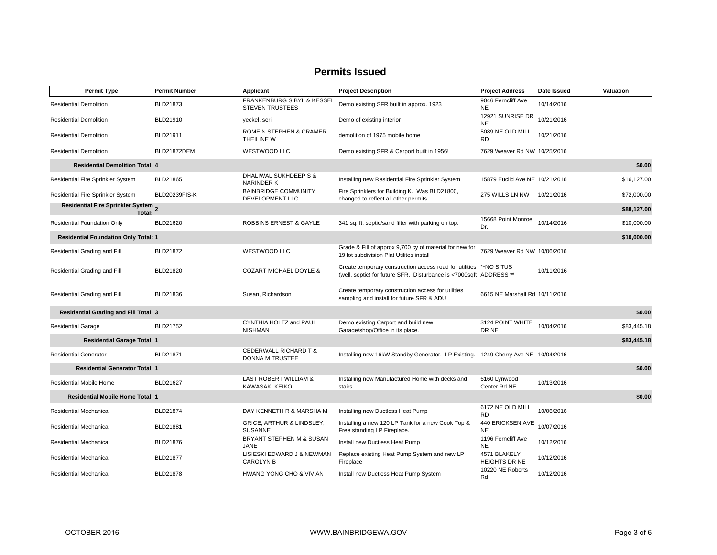| <b>Permit Type</b>                            | <b>Permit Number</b> | Applicant                                                 | <b>Project Description</b>                                                                                                    | <b>Project Address</b>          | Date Issued | Valuation   |
|-----------------------------------------------|----------------------|-----------------------------------------------------------|-------------------------------------------------------------------------------------------------------------------------------|---------------------------------|-------------|-------------|
| <b>Residential Demolition</b>                 | BLD21873             | FRANKENBURG SIBYL & KESSEL<br><b>STEVEN TRUSTEES</b>      | Demo existing SFR built in approx. 1923                                                                                       | 9046 Ferncliff Ave<br><b>NE</b> | 10/14/2016  |             |
| <b>Residential Demolition</b>                 | BLD21910             | yeckel, seri                                              | Demo of existing interior                                                                                                     | 12921 SUNRISE DR<br><b>NE</b>   | 10/21/2016  |             |
| <b>Residential Demolition</b>                 | BLD21911             | ROMEIN STEPHEN & CRAMER<br>THEILINE W                     | demolition of 1975 mobile home                                                                                                | 5089 NE OLD MILL<br><b>RD</b>   | 10/21/2016  |             |
| <b>Residential Demolition</b>                 | <b>BLD21872DEM</b>   | WESTWOOD LLC                                              | Demo existing SFR & Carport built in 1956!                                                                                    | 7629 Weaver Rd NW 10/25/2016    |             |             |
| <b>Residential Demolition Total: 4</b>        |                      |                                                           |                                                                                                                               |                                 |             | \$0.00      |
| <b>Residential Fire Sprinkler System</b>      | BLD21865             | DHALIWAL SUKHDEEP S &<br><b>NARINDER K</b>                | Installing new Residential Fire Sprinkler System                                                                              | 15879 Euclid Ave NE 10/21/2016  |             | \$16,127.00 |
| Residential Fire Sprinkler System             | BLD20239FIS-K        | <b>BAINBRIDGE COMMUNITY</b><br>DEVELOPMENT LLC            | Fire Sprinklers for Building K. Was BLD21800,<br>changed to reflect all other permits.                                        | 275 WILLS LN NW 10/21/2016      |             | \$72,000.00 |
| Residential Fire Sprinkler System 2<br>Total: |                      |                                                           |                                                                                                                               |                                 |             | \$88,127.00 |
| Residential Foundation Only                   | BLD21620             | <b>ROBBINS ERNEST &amp; GAYLE</b>                         | 341 sq. ft. septic/sand filter with parking on top.                                                                           | 15668 Point Monroe<br>Dr.       | 10/14/2016  | \$10,000.00 |
| <b>Residential Foundation Only Total: 1</b>   |                      |                                                           |                                                                                                                               |                                 |             | \$10,000.00 |
| Residential Grading and Fill                  | BLD21872             | WESTWOOD LLC                                              | Grade & Fill of approx 9,700 cy of material for new for<br>19 lot subdivision Plat Utilites install                           | 7629 Weaver Rd NW 10/06/2016    |             |             |
| Residential Grading and Fill                  | BLD21820             | <b>COZART MICHAEL DOYLE &amp;</b>                         | Create temporary construction access road for utilities<br>(well, septic) for future SFR. Disturbance is <7000sqft ADDRESS ** | **NO SITUS                      | 10/11/2016  |             |
| Residential Grading and Fill                  | BLD21836             | Susan, Richardson                                         | Create temporary construction access for utilities<br>sampling and install for future SFR & ADU                               | 6615 NE Marshall Rd 10/11/2016  |             |             |
| <b>Residential Grading and Fill Total: 3</b>  |                      |                                                           |                                                                                                                               |                                 |             | \$0.00      |
| <b>Residential Garage</b>                     | BLD21752             | CYNTHIA HOLTZ and PAUL<br><b>NISHMAN</b>                  | Demo existing Carport and build new<br>Garage/shop/Office in its place.                                                       | 3124 POINT WHITE<br>DR NE       | 10/04/2016  | \$83,445.18 |
| <b>Residential Garage Total: 1</b>            |                      |                                                           |                                                                                                                               |                                 |             | \$83,445.18 |
| <b>Residential Generator</b>                  | BLD21871             | CEDERWALL RICHARD T &<br>DONNA M TRUSTEE                  | Installing new 16kW Standby Generator. LP Existing. 1249 Cherry Ave NE 10/04/2016                                             |                                 |             |             |
| <b>Residential Generator Total: 1</b>         |                      |                                                           |                                                                                                                               |                                 |             | \$0.00      |
| <b>Residential Mobile Home</b>                | BLD21627             | <b>LAST ROBERT WILLIAM &amp;</b><br><b>KAWASAKI KEIKO</b> | Installing new Manufactured Home with decks and<br>stairs.                                                                    | 6160 Lynwood<br>Center Rd NE    | 10/13/2016  |             |
| <b>Residential Mobile Home Total: 1</b>       |                      |                                                           |                                                                                                                               |                                 |             | \$0.00      |
| Residential Mechanical                        | BLD21874             | DAY KENNETH R & MARSHA M                                  | Installing new Ductless Heat Pump                                                                                             | 6172 NE OLD MILL<br><b>RD</b>   | 10/06/2016  |             |
| Residential Mechanical                        | BLD21881             | GRICE, ARTHUR & LINDSLEY,<br><b>SUSANNE</b>               | Installing a new 120 LP Tank for a new Cook Top &<br>Free standing LP Fireplace.                                              | 440 ERICKSEN AVE<br><b>NE</b>   | 10/07/2016  |             |
| Residential Mechanical                        | BLD21876             | BRYANT STEPHEN M & SUSAN<br><b>JANE</b>                   | Install new Ductless Heat Pump                                                                                                | 1196 Ferncliff Ave<br><b>NE</b> | 10/12/2016  |             |
| Residential Mechanical                        | BLD21877             | LISIESKI EDWARD J & NEWMAN<br><b>CAROLYN B</b>            | Replace existing Heat Pump System and new LP<br>Fireplace                                                                     | 4571 BLAKELY<br>HEIGHTS DR NE   | 10/12/2016  |             |
| <b>Residential Mechanical</b>                 | BLD21878             | HWANG YONG CHO & VIVIAN                                   | Install new Ductless Heat Pump System                                                                                         | 10220 NE Roberts<br>Rd          | 10/12/2016  |             |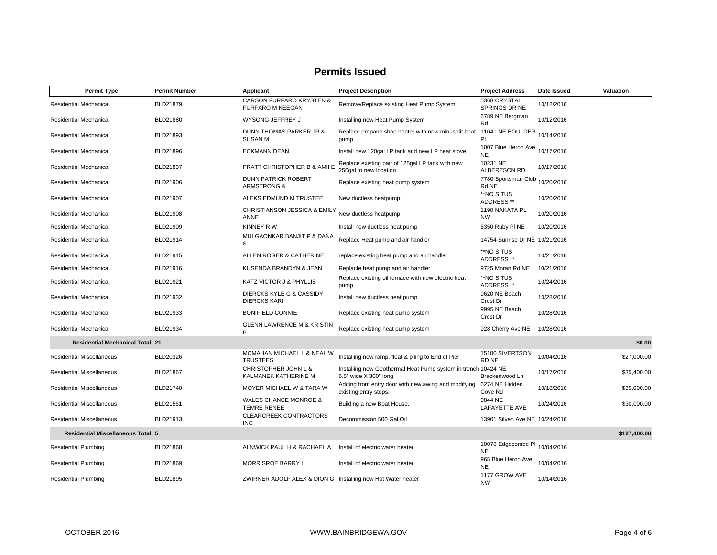| <b>Permit Type</b>                        | <b>Permit Number</b> | Applicant                                                      | <b>Project Description</b>                                                              | <b>Project Address</b>                      | Date Issued | Valuation    |
|-------------------------------------------|----------------------|----------------------------------------------------------------|-----------------------------------------------------------------------------------------|---------------------------------------------|-------------|--------------|
| <b>Residential Mechanical</b>             | BLD21879             | <b>CARSON FURFARO KRYSTEN &amp;</b><br><b>FURFARO M KEEGAN</b> | Remove/Replace existing Heat Pump System                                                | 5368 CRYSTAL<br>SPRINGS DR NE               | 10/12/2016  |              |
| Residential Mechanical                    | BLD21880             | WYSONG JEFFREY J                                               | Installing new Heat Pump System                                                         | 6789 NE Bergman<br>Rd                       | 10/12/2016  |              |
| Residential Mechanical                    | BLD21893             | DUNN THOMAS PARKER JR &<br><b>SUSAN M</b>                      | Replace propane shop heater with new mini-split heat<br>pump                            | 11041 NE BOULDER 10/14/2016<br>PL           |             |              |
| Residential Mechanical                    | BLD21896             | <b>ECKMANN DEAN</b>                                            | Install new 120gal LP tank and new LP heat stove.                                       | 1007 Blue Heron Ave 10/17/2016<br><b>NE</b> |             |              |
| Residential Mechanical                    | BLD21897             | PRATT CHRISTOPHER B & AMII E                                   | Replace existing pair of 125gal LP tank with new<br>250gal to new location              | 10231 NE<br><b>ALBERTSON RD</b>             | 10/17/2016  |              |
| Residential Mechanical                    | BLD21906             | <b>DUNN PATRICK ROBERT</b><br><b>ARMSTRONG &amp;</b>           | Replace existing heat pump system                                                       | 7780 Sportsman Club 10/20/2016<br>Rd NE     |             |              |
| Residential Mechanical                    | BLD21907             | ALEKS EDMUND M TRUSTEE                                         | New ductless heatpump.                                                                  | **NO SITUS<br>ADDRESS **                    | 10/20/2016  |              |
| Residential Mechanical                    | BLD21908             | CHRISTIANSON JESSICA & EMILY<br>ANNE                           | New ductless heatpump                                                                   | 1190 NAKATA PL<br><b>NW</b>                 | 10/20/2016  |              |
| Residential Mechanical                    | BLD21909             | KINNEY R W                                                     | Install new ductless heat pump                                                          | 5350 Ruby PI NE                             | 10/20/2016  |              |
| Residential Mechanical                    | BLD21914             | MULGAONKAR BANJIT P & DANA<br>S                                | Replace Heat pump and air handler                                                       | 14754 Sunrise Dr NE 10/21/2016              |             |              |
| <b>Residential Mechanical</b>             | BLD21915             | ALLEN ROGER & CATHERINE                                        | replace existing heat pump and air handler                                              | **NO SITUS<br>ADDRESS **                    | 10/21/2016  |              |
| Residential Mechanical                    | BLD21916             | KUSENDA BRANDYN & JEAN                                         | Replacfe heat pump and air handler                                                      | 9725 Moran Rd NE                            | 10/21/2016  |              |
| Residential Mechanical                    | BLD21921             | KATZ VICTOR J & PHYLLIS                                        | Replace existing oil furnace with new electric heat<br>pump                             | **NO SITUS<br>ADDRESS **                    | 10/24/2016  |              |
| Residential Mechanical                    | BLD21932             | DIERCKS KYLE G & CASSIDY<br><b>DIERCKS KARI</b>                | Install new ductless heat pump                                                          | 9620 NE Beach<br>Crest Dr                   | 10/28/2016  |              |
| Residential Mechanical                    | BLD21933             | <b>BONIFIELD CONNIE</b>                                        | Replace existing heat pump system                                                       | 9995 NE Beach<br>Crest Dr                   | 10/28/2016  |              |
| Residential Mechanical                    | BLD21934             | <b>GLENN LAWRENCE M &amp; KRISTIN</b><br>P                     | Replace existing heat pump system                                                       | 928 Cherry Ave NE                           | 10/28/2016  |              |
| <b>Residential Mechanical Total: 21</b>   |                      |                                                                |                                                                                         |                                             |             | \$0.00       |
| <b>Residential Miscellaneous</b>          | BLD20326             | MCMAHAN MICHAEL L & NEAL W<br><b>TRUSTEES</b>                  | Installing new ramp, float & piling to End of Pier                                      | 15100 SIVERTSON<br>RD NE                    | 10/04/2016  | \$27,000.00  |
| <b>Residential Miscellaneous</b>          | BLD21867             | CHRISTOPHER JOHN L &<br>KALMANEK KATHERINE M                   | Installing new Geothermal Heat Pump system in trench 10424 NE<br>6.5" wide X 300" long. | Brackenwood Ln                              | 10/17/2016  | \$35,400.00  |
| <b>Residential Miscellaneous</b>          | BLD21740             | MOYER MICHAEL W & TARA W                                       | Adding front entry door with new awing and modifying<br>existing entry steps.           | 6274 NE Hidden<br>Cove Rd                   | 10/18/2016  | \$35,000.00  |
| <b>Residential Miscellaneous</b>          | BLD21561             | <b>WALES CHANCE MONROE &amp;</b><br><b>TEMRE RENEE</b>         | Building a new Boat House.                                                              | 9844 NE<br>LAFAYETTE AVE                    | 10/24/2016  | \$30,000.00  |
| <b>Residential Miscellaneous</b>          | BLD21913             | <b>CLEARCREEK CONTRACTORS</b><br><b>INC</b>                    | Decommission 500 Gal Oil                                                                | 13901 Silven Ave NE 10/24/2016              |             |              |
| <b>Residential Miscellaneous Total: 5</b> |                      |                                                                |                                                                                         |                                             |             | \$127,400.00 |
| <b>Residential Plumbing</b>               | BLD21868             | ALNWICK PAUL H & RACHAEL A                                     | Install of electric water heater                                                        | 10078 Edgecombe PI 10/04/2016<br><b>NE</b>  |             |              |
| <b>Residential Plumbing</b>               | BLD21869             | <b>MORRISROE BARRY L</b>                                       | Install of electric water heater                                                        | 965 Blue Heron Ave<br><b>NE</b>             | 10/04/2016  |              |
| <b>Residential Plumbing</b>               | BLD21895             | ZWIRNER ADOLF ALEX & DION G Installing new Hot Water heater    |                                                                                         | 1177 GROW AVE<br><b>NW</b>                  | 10/14/2016  |              |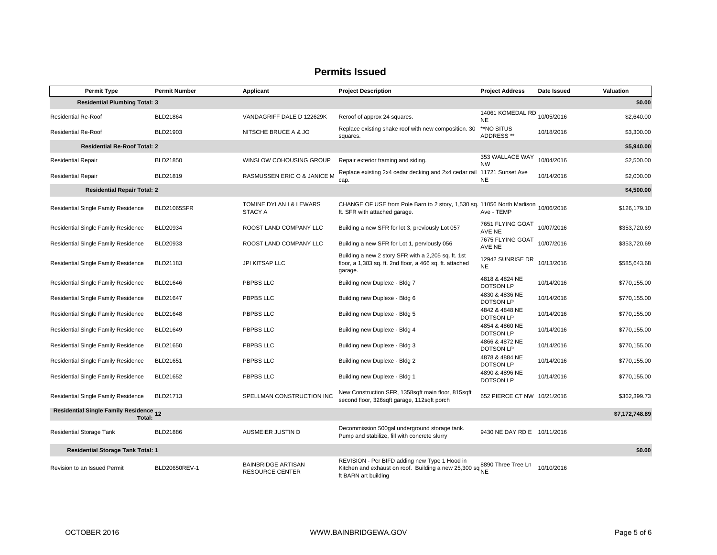|                                 | <b>Permit Type</b>                                                 | <b>Permit Number</b> | Applicant                                           | <b>Project Description</b>                                                                                                        | <b>Project Address</b>             | Date Issued | Valuation    |  |
|---------------------------------|--------------------------------------------------------------------|----------------------|-----------------------------------------------------|-----------------------------------------------------------------------------------------------------------------------------------|------------------------------------|-------------|--------------|--|
|                                 | \$0.00<br><b>Residential Plumbing Total: 3</b>                     |                      |                                                     |                                                                                                                                   |                                    |             |              |  |
| <b>Residential Re-Roof</b>      |                                                                    | BLD21864             | VANDAGRIFF DALE D 122629K                           | Reroof of approx 24 squares.                                                                                                      | 14061 KOMEDAL RD<br><b>NE</b>      | 10/05/2016  | \$2,640.00   |  |
| <b>Residential Re-Roof</b>      |                                                                    | BLD21903             | NITSCHE BRUCE A & JO                                | Replace existing shake roof with new composition. 30<br>squares.                                                                  | **NO SITUS<br>ADDRESS **           | 10/18/2016  | \$3,300.00   |  |
|                                 | <b>Residential Re-Roof Total: 2</b>                                |                      |                                                     |                                                                                                                                   |                                    |             | \$5,940.00   |  |
| <b>Residential Repair</b>       |                                                                    | BLD21850             | WINSLOW COHOUSING GROUP                             | Repair exterior framing and siding.                                                                                               | 353 WALLACE WAY<br><b>NW</b>       | 10/04/2016  | \$2,500.00   |  |
| <b>Residential Repair</b>       |                                                                    | BLD21819             | RASMUSSEN ERIC O & JANICE M                         | Replace existing 2x4 cedar decking and 2x4 cedar rail<br>cap.                                                                     | 11721 Sunset Ave<br><b>NE</b>      | 10/14/2016  | \$2,000.00   |  |
|                                 | <b>Residential Repair Total: 2</b>                                 |                      |                                                     |                                                                                                                                   |                                    |             | \$4,500.00   |  |
|                                 | Residential Single Family Residence                                | <b>BLD21065SFR</b>   | TOMINE DYLAN I & LEWARS<br>STACY A                  | CHANGE OF USE from Pole Barn to 2 story, 1,530 sq. 11056 North Madison 10/06/2016<br>ft. SFR with attached garage.                | Ave - TEMP                         |             | \$126,179.10 |  |
|                                 | Residential Single Family Residence                                | BLD20934             | ROOST LAND COMPANY LLC                              | Building a new SFR for lot 3, previously Lot 057                                                                                  | 7651 FLYING GOAT<br>AVE NE         | 10/07/2016  | \$353,720.69 |  |
|                                 | Residential Single Family Residence                                | BLD20933             | ROOST LAND COMPANY LLC                              | Building a new SFR for Lot 1, perviously 056                                                                                      | 7675 FLYING GOAT<br>AVE NE         | 10/07/2016  | \$353,720.69 |  |
|                                 | Residential Single Family Residence                                | BLD21183             | JPI KITSAP LLC                                      | Building a new 2 story SFR with a 2,205 sq. ft. 1st<br>floor, a 1,383 sq. ft. 2nd floor, a 466 sq. ft. attached<br>garage.        | 12942 SUNRISE DR<br><b>NE</b>      | 10/13/2016  | \$585,643.68 |  |
|                                 | Residential Single Family Residence                                | BLD21646             | PBPBS LLC                                           | Building new Duplexe - Bldg 7                                                                                                     | 4818 & 4824 NE<br><b>DOTSON LP</b> | 10/14/2016  | \$770,155.00 |  |
|                                 | Residential Single Family Residence                                | BLD21647             | <b>PBPBS LLC</b>                                    | Building new Duplexe - Bldg 6                                                                                                     | 4830 & 4836 NE<br><b>DOTSON LP</b> | 10/14/2016  | \$770,155.00 |  |
|                                 | Residential Single Family Residence                                | BLD21648             | PBPBS LLC                                           | Building new Duplexe - Bldg 5                                                                                                     | 4842 & 4848 NE<br><b>DOTSON LP</b> | 10/14/2016  | \$770,155.00 |  |
|                                 | <b>Residential Single Family Residence</b>                         | BLD21649             | PBPBS LLC                                           | Building new Duplexe - Bldg 4                                                                                                     | 4854 & 4860 NE<br><b>DOTSON LP</b> | 10/14/2016  | \$770,155.00 |  |
|                                 | Residential Single Family Residence                                | BLD21650             | PBPBS LLC                                           | Building new Duplexe - Bldg 3                                                                                                     | 4866 & 4872 NE<br><b>DOTSON LP</b> | 10/14/2016  | \$770,155.00 |  |
|                                 | <b>Residential Single Family Residence</b>                         | BLD21651             | PBPBS LLC                                           | Building new Duplexe - Bldg 2                                                                                                     | 4878 & 4884 NE<br><b>DOTSON LP</b> | 10/14/2016  | \$770,155.00 |  |
|                                 | Residential Single Family Residence                                | BLD21652             | PBPBS LLC                                           | Building new Duplexe - Bldg 1                                                                                                     | 4890 & 4896 NE<br><b>DOTSON LP</b> | 10/14/2016  | \$770,155.00 |  |
|                                 | Residential Single Family Residence                                | BLD21713             | SPELLMAN CONSTRUCTION INC                           | New Construction SFR, 1358sqft main floor, 815sqft<br>second floor, 326sqft garage, 112sqft porch                                 | 652 PIERCE CT NW 10/21/2016        |             | \$362,399.73 |  |
|                                 | Residential Single Family Residence 12<br>\$7,172,748.89<br>Total: |                      |                                                     |                                                                                                                                   |                                    |             |              |  |
| <b>Residential Storage Tank</b> |                                                                    | BLD21886             | AUSMEIER JUSTIN D                                   | Decommission 500gal underground storage tank.<br>Pump and stabilize, fill with concrete slurry                                    | 9430 NE DAY RD E 10/11/2016        |             |              |  |
|                                 | <b>Residential Storage Tank Total: 1</b>                           |                      |                                                     |                                                                                                                                   |                                    |             | \$0.00       |  |
| Revision to an Issued Permit    |                                                                    | BLD20650REV-1        | <b>BAINBRIDGE ARTISAN</b><br><b>RESOURCE CENTER</b> | REVISION - Per BIFD adding new Type 1 Hood in<br>Kitchen and exhaust on roof. Building a new 25,300 sq NE<br>ft BARN art building | 8890 Three Tree Ln                 | 10/10/2016  |              |  |